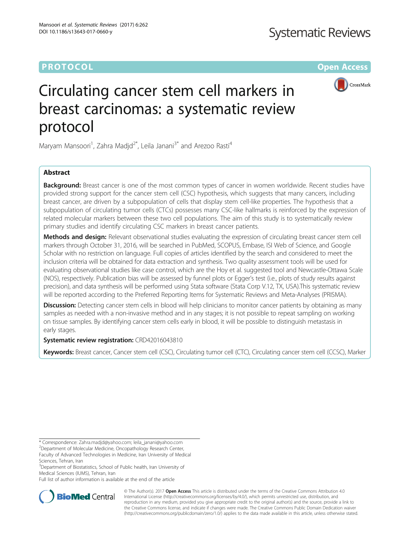## **PROTOCOL CONSUMING THE CONSUMING TEACHER CONSUMING THE CONSUMING TEACHER CONSUMING THE CONSUMING TEACHER CONSUMING**



# Circulating cancer stem cell markers in breast carcinomas: a systematic review protocol

Maryam Mansoori<sup>1</sup>, Zahra Madjd<sup>2\*</sup>, Leila Janani<sup>3\*</sup> and Arezoo Rasti<sup>4</sup>

## Abstract

**Background:** Breast cancer is one of the most common types of cancer in women worldwide. Recent studies have provided strong support for the cancer stem cell (CSC) hypothesis, which suggests that many cancers, including breast cancer, are driven by a subpopulation of cells that display stem cell-like properties. The hypothesis that a subpopulation of circulating tumor cells (CTCs) possesses many CSC-like hallmarks is reinforced by the expression of related molecular markers between these two cell populations. The aim of this study is to systematically review primary studies and identify circulating CSC markers in breast cancer patients.

Methods and design: Relevant observational studies evaluating the expression of circulating breast cancer stem cell markers through October 31, 2016, will be searched in PubMed, SCOPUS, Embase, ISI Web of Science, and Google Scholar with no restriction on language. Full copies of articles identified by the search and considered to meet the inclusion criteria will be obtained for data extraction and synthesis. Two quality assessment tools will be used for evaluating observational studies like case control, which are the Hoy et al. suggested tool and Newcastle-Ottawa Scale (NOS), respectively. Publication bias will be assessed by funnel plots or Egger's test (i.e., plots of study results against precision), and data synthesis will be performed using Stata software (Stata Corp V.12, TX, USA).This systematic review will be reported according to the Preferred Reporting Items for Systematic Reviews and Meta-Analyses (PRISMA).

**Discussion:** Detecting cancer stem cells in blood will help clinicians to monitor cancer patients by obtaining as many samples as needed with a non-invasive method and in any stages; it is not possible to repeat sampling on working on tissue samples. By identifying cancer stem cells early in blood, it will be possible to distinguish metastasis in early stages.

## Systematic review registration: [CRD42016043810](http://www.crd.york.ac.uk/PROSPERO/display_record.php?ID=CRD42016043810)

Keywords: Breast cancer, Cancer stem cell (CSC), Circulating tumor cell (CTC), Circulating cancer stem cell (CCSC), Marker

\* Correspondence: [Zahra.madjd@yahoo.com](mailto:Zahra.madjd@yahoo.com); [leila\\_janani@yahoo.com](mailto:leila_janani@yahoo.com) <sup>2</sup> <sup>2</sup>Department of Molecular Medicine, Oncopathology Research Center,

Faculty of Advanced Technologies in Medicine, Iran University of Medical Sciences, Tehran, Iran

<sup>3</sup>Department of Biostatistics, School of Public health, Iran University of Medical Sciences (IUMS), Tehran, Iran

Full list of author information is available at the end of the article



© The Author(s). 2017 **Open Access** This article is distributed under the terms of the Creative Commons Attribution 4.0 International License [\(http://creativecommons.org/licenses/by/4.0/](http://creativecommons.org/licenses/by/4.0/)), which permits unrestricted use, distribution, and reproduction in any medium, provided you give appropriate credit to the original author(s) and the source, provide a link to the Creative Commons license, and indicate if changes were made. The Creative Commons Public Domain Dedication waiver [\(http://creativecommons.org/publicdomain/zero/1.0/](http://creativecommons.org/publicdomain/zero/1.0/)) applies to the data made available in this article, unless otherwise stated.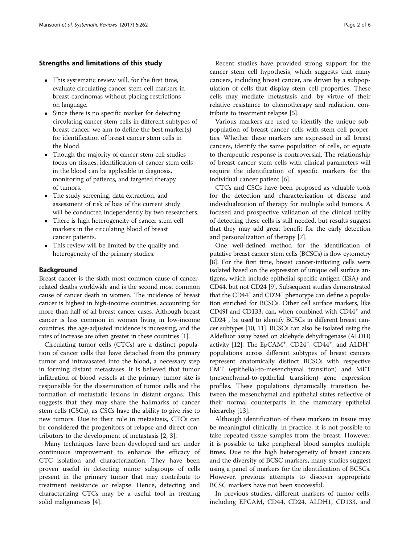#### Strengths and limitations of this study

- This systematic review will, for the first time, evaluate circulating cancer stem cell markers in breast carcinomas without placing restrictions on language.
- Since there is no specific marker for detecting circulating cancer stem cells in different subtypes of breast cancer, we aim to define the best marker(s) for identification of breast cancer stem cells in the blood.
- Though the majority of cancer stem cell studies focus on tissues, identification of cancer stem cells in the blood can be applicable in diagnosis, monitoring of patients, and targeted therapy of tumors.
- The study screening, data extraction, and assessment of risk of bias of the current study will be conducted independently by two researchers.
- There is high heterogeneity of cancer stem cell markers in the circulating blood of breast cancer patients.
- This review will be limited by the quality and heterogeneity of the primary studies.

#### Background

Breast cancer is the sixth most common cause of cancerrelated deaths worldwide and is the second most common cause of cancer death in women. The incidence of breast cancer is highest in high-income countries, accounting for more than half of all breast cancer cases. Although breast cancer is less common in women living in low-income countries, the age-adjusted incidence is increasing, and the rates of increase are often greater in these countries [\[1\]](#page-4-0).

Circulating tumor cells (CTCs) are a distinct population of cancer cells that have detached from the primary tumor and intravasated into the blood, a necessary step in forming distant metastases. It is believed that tumor infiltration of blood vessels at the primary tumor site is responsible for the dissemination of tumor cells and the formation of metastatic lesions in distant organs. This suggests that they may share the hallmarks of cancer stem cells (CSCs), as CSCs have the ability to give rise to new tumors. Due to their role in metastasis, CTCs can be considered the progenitors of relapse and direct contributors to the development of metastasis [[2, 3\]](#page-4-0).

Many techniques have been developed and are under continuous improvement to enhance the efficacy of CTC isolation and characterization. They have been proven useful in detecting minor subgroups of cells present in the primary tumor that may contribute to treatment resistance or relapse. Hence, detecting and characterizing CTCs may be a useful tool in treating solid malignancies [[4\]](#page-4-0).

Recent studies have provided strong support for the cancer stem cell hypothesis, which suggests that many cancers, including breast cancer, are driven by a subpopulation of cells that display stem cell properties. These cells may mediate metastasis and, by virtue of their relative resistance to chemotherapy and radiation, contribute to treatment relapse [[5\]](#page-4-0).

Various markers are used to identify the unique subpopulation of breast cancer cells with stem cell properties. Whether these markers are expressed in all breast cancers, identify the same population of cells, or equate to therapeutic response is controversial. The relationship of breast cancer stem cells with clinical parameters will require the identification of specific markers for the individual cancer patient [\[6\]](#page-4-0).

CTCs and CSCs have been proposed as valuable tools for the detection and characterization of disease and individualization of therapy for multiple solid tumors. A focused and prospective validation of the clinical utility of detecting these cells is still needed, but results suggest that they may add great benefit for the early detection and personalization of therapy [\[7](#page-4-0)].

One well-defined method for the identification of putative breast cancer stem cells (BCSCs) is flow cytometry [[8](#page-4-0)]. For the first time, breast cancer-initiating cells were isolated based on the expression of unique cell surface antigens, which include epithelial specific antigen (ESA) and CD44, but not CD24 [\[9\]](#page-4-0). Subsequent studies demonstrated that the CD44<sup>+</sup> and CD24<sup>−</sup> phenotype can define a population enriched for BCSCs. Other cell surface markers, like CD49f and CD133, can, when combined with CD44<sup>+</sup> and CD24<sup>−</sup> , be used to identify BCSCs in different breast cancer subtypes [[10](#page-4-0), [11\]](#page-4-0). BCSCs can also be isolated using the Aldefluor assay based on aldehyde dehydrogenase (ALDH) activity [[12](#page-4-0)]. The EpCAM<sup>+</sup>, CD24<sup>-</sup>, CD44<sup>+</sup>, and ALDH<sup>+</sup> populations across different subtypes of breast cancers represent anatomically distinct BCSCs with respective EMT (epithelial-to-mesenchymal transition) and MET (mesenchymal-to-epithelial transition) gene expression profiles. These populations dynamically transition between the mesenchymal and epithelial states reflective of their normal counterparts in the mammary epithelial hierarchy [[13](#page-4-0)].

Although identification of these markers in tissue may be meaningful clinically, in practice, it is not possible to take repeated tissue samples from the breast. However, it is possible to take peripheral blood samples multiple times. Due to the high heterogeneity of breast cancers and the diversity of BCSC markers, many studies suggest using a panel of markers for the identification of BCSCs. However, previous attempts to discover appropriate BCSC markers have not been successful.

In previous studies, different markers of tumor cells, including EPCAM, CD44, CD24, ALDH1, CD133, and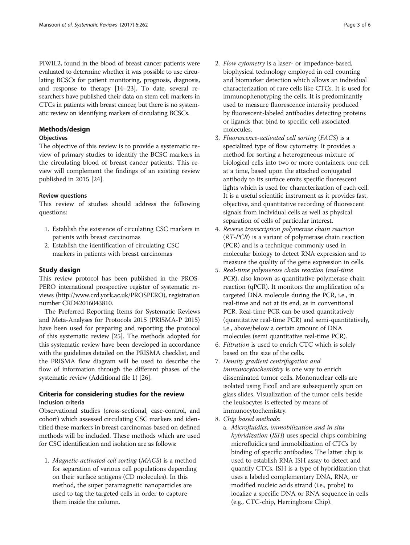PIWIL2, found in the blood of breast cancer patients were evaluated to determine whether it was possible to use circulating BCSCs for patient monitoring, prognosis, diagnosis, and response to therapy [[14](#page-5-0)–[23](#page-5-0)]. To date, several researchers have published their data on stem cell markers in CTCs in patients with breast cancer, but there is no systematic review on identifying markers of circulating BCSCs.

## Methods/design

## **Objectives**

The objective of this review is to provide a systematic review of primary studies to identify the BCSC markers in the circulating blood of breast cancer patients. This review will complement the findings of an existing review published in 2015 [[24\]](#page-5-0).

## Review questions

This review of studies should address the following questions:

- 1. Establish the existence of circulating CSC markers in patients with breast carcinomas
- 2. Establish the identification of circulating CSC markers in patients with breast carcinomas

## Study design

This review protocol has been published in the PROS-PERO international prospective register of systematic reviews [\(http://www.crd.york.ac.uk/PROSPERO](http://www.crd.york.ac.uk/PROSPERO)), registration number CRD42016043810.

The Preferred Reporting Items for Systematic Reviews and Meta-Analyses for Protocols 2015 (PRISMA-P 2015) have been used for preparing and reporting the protocol of this systematic review [[25](#page-5-0)]. The methods adopted for this systematic review have been developed in accordance with the guidelines detailed on the PRISMA checklist, and the PRISMA flow diagram will be used to describe the flow of information through the different phases of the systematic review (Additional file [1\)](#page-4-0) [[26](#page-5-0)].

## Criteria for considering studies for the review Inclusion criteria

Observational studies (cross-sectional, case-control, and cohort) which assessed circulating CSC markers and identified these markers in breast carcinomas based on defined methods will be included. These methods which are used for CSC identification and isolation are as follows:

1. Magnetic-activated cell sorting (MACS) is a method for separation of various cell populations depending on their surface antigens (CD molecules). In this method, the super paramagnetic nanoparticles are used to tag the targeted cells in order to capture them inside the column.

- 2. Flow cytometry is a laser- or impedance-based, biophysical technology employed in cell counting and biomarker detection which allows an individual characterization of rare cells like CTCs. It is used for immunophenotyping the cells. It is predominantly used to measure fluorescence intensity produced by fluorescent-labeled antibodies detecting proteins or ligands that bind to specific cell-associated molecules.
- 3. Fluorescence-activated cell sorting (FACS) is a specialized type of flow cytometry. It provides a method for sorting a heterogeneous mixture of biological cells into two or more containers, one cell at a time, based upon the attached conjugated antibody to its surface emits specific fluorescent lights which is used for characterization of each cell. It is a useful scientific instrument as it provides fast, objective, and quantitative recording of fluorescent signals from individual cells as well as physical separation of cells of particular interest.
- 4. Reverse transcription polymerase chain reaction (RT-PCR) is a variant of polymerase chain reaction (PCR) and is a technique commonly used in molecular biology to detect RNA expression and to measure the quality of the gene expression in cells.
- 5. Real-time polymerase chain reaction (real-time PCR), also known as quantitative polymerase chain reaction (qPCR). It monitors the amplification of a targeted DNA molecule during the PCR, i.e., in real-time and not at its end, as in conventional PCR. Real-time PCR can be used quantitatively (quantitative real-time PCR) and semi-quantitatively, i.e., above/below a certain amount of DNA molecules (semi quantitative real-time PCR).
- 6. Filtration is used to enrich CTC which is solely based on the size of the cells.
- 7. Density gradient centrifugation and immunocytochemistry is one way to enrich disseminated tumor cells. Mononuclear cells are isolated using Ficoll and are subsequently spun on glass slides. Visualization of the tumor cells beside the leukocytes is effected by means of immunocytochemistry.
- 8. Chip based methods:
	- a. Microfluidics, immobilization and in situ hybridization (ISH) uses special chips combining microfluidics and immobilization of CTCs by binding of specific antibodies. The latter chip is used to establish RNA ISH assay to detect and quantify CTCs. ISH is a type of hybridization that uses a labeled complementary DNA, RNA, or modified nucleic acids strand (i.e., probe) to localize a specific DNA or RNA sequence in cells (e.g., CTC-chip, Herringbone Chip).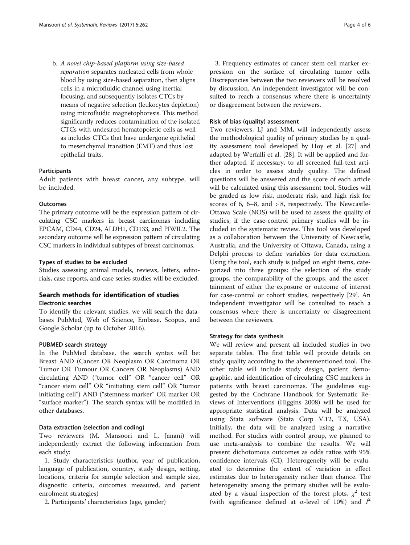b. A novel chip-based platform using size-based separation separates nucleated cells from whole blood by using size-based separation, then aligns cells in a microfluidic channel using inertial focusing, and subsequently isolates CTCs by means of negative selection (leukocytes depletion) using microfluidic magnetophoresis. This method significantly reduces contamination of the isolated CTCs with undesired hematopoietic cells as well as includes CTCs that have undergone epithelial to mesenchymal transition (EMT) and thus lost epithelial traits.

#### **Participants**

Adult patients with breast cancer, any subtype, will be included.

### **Outcomes**

The primary outcome will be the expression pattern of circulating CSC markers in breast carcinomas including EPCAM, CD44, CD24, ALDH1, CD133, and PIWIL2. The secondary outcome will be expression pattern of circulating CSC markers in individual subtypes of breast carcinomas.

#### Types of studies to be excluded

Studies assessing animal models, reviews, letters, editorials, case reports, and case series studies will be excluded.

## Search methods for identification of studies Electronic searches

To identify the relevant studies, we will search the databases PubMed, Web of Science, Embase, Scopus, and Google Scholar (up to October 2016).

#### PUBMED search strategy

In the PubMed database, the search syntax will be: Breast AND (Cancer OR Neoplasm OR Carcinoma OR Tumor OR Tumour OR Cancers OR Neoplasms) AND circulating AND ("tumor cell" OR "cancer cell" OR "cancer stem cell" OR "initiating stem cell" OR "tumor initiating cell") AND ("stemness marker" OR marker OR "surface marker"). The search syntax will be modified in other databases.

#### Data extraction (selection and coding)

Two reviewers (M. Mansoori and L. Janani) will independently extract the following information from each study:

1. Study characteristics (author, year of publication, language of publication, country, study design, setting, locations, criteria for sample selection and sample size, diagnostic criteria, outcomes measured, and patient enrolment strategies)

2. Participants' characteristics (age, gender)

3. Frequency estimates of cancer stem cell marker expression on the surface of circulating tumor cells. Discrepancies between the two reviewers will be resolved by discussion. An independent investigator will be consulted to reach a consensus where there is uncertainty or disagreement between the reviewers.

#### Risk of bias (quality) assessment

Two reviewers, LJ and MM, will independently assess the methodological quality of primary studies by a quality assessment tool developed by Hoy et al. [\[27](#page-5-0)] and adapted by Werfalli et al. [[28](#page-5-0)]. It will be applied and further adapted, if necessary, to all screened full-text articles in order to assess study quality. The defined questions will be answered and the score of each article will be calculated using this assessment tool. Studies will be graded as low risk, moderate risk, and high risk for scores of 6,  $6-8$ , and  $> 8$ , respectively. The Newcastle-Ottawa Scale (NOS) will be used to assess the quality of studies, if the case-control primary studies will be included in the systematic review. This tool was developed as a collaboration between the University of Newcastle, Australia, and the University of Ottawa, Canada, using a Delphi process to define variables for data extraction. Using the tool, each study is judged on eight items, categorized into three groups: the selection of the study groups, the comparability of the groups, and the ascertainment of either the exposure or outcome of interest for case-control or cohort studies, respectively [\[29\]](#page-5-0). An independent investigator will be consulted to reach a consensus where there is uncertainty or disagreement between the reviewers.

## Strategy for data synthesis

We will review and present all included studies in two separate tables. The first table will provide details on study quality according to the abovementioned tool. The other table will include study design, patient demographic, and identification of circulating CSC markers in patients with breast carcinomas. The guidelines suggested by the Cochrane Handbook for Systematic Reviews of Interventions (Higgins 2008) will be used for appropriate statistical analysis. Data will be analyzed using Stata software (Stata Corp V.12, TX, USA). Initially, the data will be analyzed using a narrative method. For studies with control group, we planned to use meta-analysis to combine the results. We will present dichotomous outcomes as odds ratios with 95% confidence intervals (CI). Heterogeneity will be evaluated to determine the extent of variation in effect estimates due to heterogeneity rather than chance. The heterogeneity among the primary studies will be evaluated by a visual inspection of the forest plots,  $\chi^2$  test (with significance defined at  $\alpha$ -level of 10%) and  $I^2$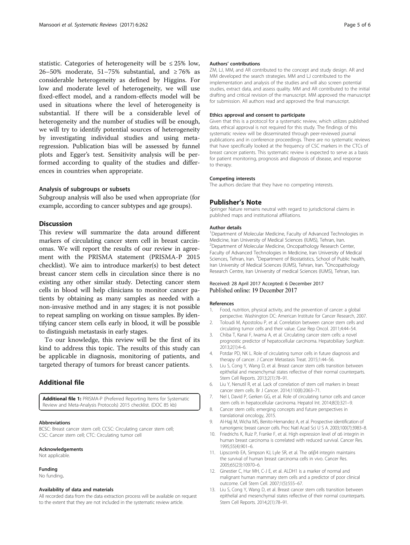<span id="page-4-0"></span>statistic. Categories of heterogeneity will be  $\leq 25\%$  low, 26–50% moderate, 51–75% substantial, and  $\geq 76\%$  as considerable heterogeneity as defined by Higgins. For low and moderate level of heterogeneity, we will use fixed-effect model, and a random-effects model will be used in situations where the level of heterogeneity is substantial. If there will be a considerable level of heterogeneity and the number of studies will be enough, we will try to identify potential sources of heterogeneity by investigating individual studies and using metaregression. Publication bias will be assessed by funnel plots and Egger's test. Sensitivity analysis will be performed according to quality of the studies and differences in countries when appropriate.

#### Analysis of subgroups or subsets

Subgroup analysis will also be used when appropriate (for example, according to cancer subtypes and age groups).

#### Discussion

This review will summarize the data around different markers of circulating cancer stem cell in breast carcinomas. We will report the results of our review in agreement with the PRISMA statement (PRISMA-P 2015 checklist). We aim to introduce marker(s) to best detect breast cancer stem cells in circulation since there is no existing any other similar study. Detecting cancer stem cells in blood will help clinicians to monitor cancer patients by obtaining as many samples as needed with a non-invasive method and in any stages; it is not possible to repeat sampling on working on tissue samples. By identifying cancer stem cells early in blood, it will be possible to distinguish metastasis in early stages.

To our knowledge, this review will be the first of its kind to address this topic. The results of this study can be applicable in diagnosis, monitoring of patients, and targeted therapy of tumors for breast cancer patients.

## Additional file

[Additional file 1:](dx.doi.org/10.1186/s13643-017-0660-y) PRISMA-P (Preferred Reporting Items for Systematic Review and Meta-Analysis Protocols) 2015 checklist. (DOC 85 kb)

#### Abbreviations

BCSC: Breast cancer stem cell; CCSC: Circulating cancer stem cell; CSC: Cancer stem cell; CTC: Circulating tumor cell

#### Acknowledgements

Not applicable.

#### Funding

No funding.

#### Availability of data and materials

All recorded data from the data extraction process will be available on request to the extent that they are not included in the systematic review article.

#### Authors' contributions

ZM, LJ, MM, and AR contributed to the concept and study design. AR and MM developed the search strategies. MM and LJ contributed to the implementation and analysis of the studies and will also screen potential studies, extract data, and assess quality. MM and AR contributed to the initial drafting and critical revision of the manuscript. MM approved the manuscript for submission. All authors read and approved the final manuscript.

#### Ethics approval and consent to participate

Given that this is a protocol for a systematic review, which utilizes published data, ethical approval is not required for this study. The findings of this systematic review will be disseminated through peer-reviewed journal publications and in conference proceedings. There are no systematic reviews that have specifically looked at the frequency of CSC markers in the CTCs of breast cancer patients. This systematic review is expected to serve as a basis for patient monitoring, prognosis and diagnosis of disease, and response to therapy.

#### Competing interests

The authors declare that they have no competing interests.

#### Publisher's Note

Springer Nature remains neutral with regard to jurisdictional claims in published maps and institutional affiliations.

#### Author details

<sup>1</sup>Department of Molecular Medicine, Faculty of Advanced Technologies in Medicine, Iran University of Medical Sciences (IUMS), Tehran, Iran. 2 Department of Molecular Medicine, Oncopathology Research Center, Faculty of Advanced Technologies in Medicine, Iran University of Medical Sciences, Tehran, Iran. <sup>3</sup>Department of Biostatistics, School of Public health Iran University of Medical Sciences (IUMS), Tehran, Iran. <sup>4</sup>Oncopathology Research Centre, Iran University of medical Sciences (IUMS), Tehran, Iran.

#### Received: 28 April 2017 Accepted: 6 December 2017 Published online: 19 December 2017

#### References

- 1. Food, nutrition, physical activity, and the prevention of cancer: a global perspective. Washington DC: American Institute for Cancer Research, 2007.
- 2. Toloudi M, Apostolou P, et al. Correlation between cancer stem cells and circulating tumor cells and their value. Case Rep Oncol. 2011;4:44–54.
- 3. Chiba T, Kanai F, Iwama A, et al. Circulating cancer stem cells: a novel prognostic predictor of hepatocellular carcinoma. Hepatobiliary SurgNutr. 2013;2(1):4–6.
- 4. Potdar PD, NK L. Role of circulating tumor cells in future diagnosis and therapy of cancer. J Cancer Metastasis Treat. 2015;1:44–56.
- 5. Liu S, Cong Y, Wang D, et al. Breast cancer stem cells transition between epithelial and mesenchymal states reflective of their normal counterparts. Stem Cell Reports. 2013;2(1):78–91.
- 6. Liu Y, Nenutil R, et al. Lack of correlation of stem cell markers in breast cancer stem cells. Br J Cancer. 2014;110(8):2063–71.
- 7. Nel I, David P, Gerken GG, et al. Role of circulating tumor cells and cancer stem cells in hepatocellular carcinoma. Hepatol Int. 2014;8(3):321–9.
- 8. Cancer stem cells: emerging concepts and future perspectives in translational oncology, 2015.
- 9. Al-Hajj M, Wicha MS, Benito-Hernandez A, et al. Prospective identification of tumorigenic breast cancer cells. Proc Natl Acad Sci U S A. 2003;100(7):3983–8.
- 10. Friedrichs K, Ruiz P, Franke F, et al. High expression level of α6 integrin in human breast carcinoma is correlated with reduced survival. Cancer Res. 1995;55(4):901–6.
- 11. Lipscomb EA, Simpson KJ, Lyle SR, et al. The α6β4 integrin maintains the survival of human breast carcinoma cells in vivo. Cancer Res. 2005;65(23):10970–6.
- 12. Ginestier C, Hur MH, C-J E, et al. ALDH1 is a marker of normal and malignant human mammary stem cells and a predictor of poor clinical outcome. Cell Stem Cell. 2007;1(5):555–67.
- 13. Liu S, Cong Y, Wang D, et al. Breast cancer stem cells transition between epithelial and mesenchymal states reflective of their normal counterparts. Stem Cell Reports. 2014;2(1):78–91.